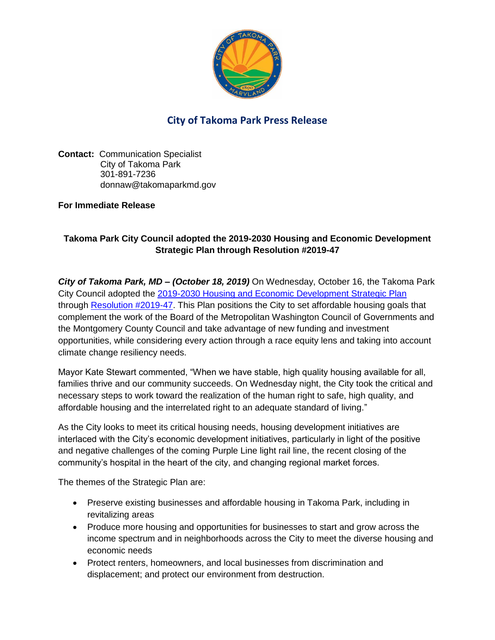

## **City of Takoma Park Press Release**

**Contact:** Communication Specialist City of Takoma Park 301-891-7236 donnaw@takomaparkmd.gov

## **For Immediate Release**

## **Takoma Park City Council adopted the 2019-2030 Housing and Economic Development Strategic Plan through Resolution #2019-47**

*City of Takoma Park, MD – (October 18, 2019)* On Wednesday, October 16, the Takoma Park City Council adopted the [2019-2030 Housing and Economic Development Strategic Plan](https://documents.takomaparkmd.gov/government/city-council/2019%20Press%20Release/HEDS%20Plan%20Final%20Plan%20Text%20As%20Approved%20101619.pdf) through [Resolution #2019-47.](https://documents.takomaparkmd.gov/government/city-council/resolutions/2019/Resolution%202019-47-HEDS-Plan_signed.pdf) This Plan positions the City to set affordable housing goals that complement the work of the Board of the Metropolitan Washington Council of Governments and the Montgomery County Council and take advantage of new funding and investment opportunities, while considering every action through a race equity lens and taking into account climate change resiliency needs.

Mayor Kate Stewart commented, "When we have stable, high quality housing available for all, families thrive and our community succeeds. On Wednesday night, the City took the critical and necessary steps to work toward the realization of the human right to safe, high quality, and affordable housing and the interrelated right to an adequate standard of living."

As the City looks to meet its critical housing needs, housing development initiatives are interlaced with the City's economic development initiatives, particularly in light of the positive and negative challenges of the coming Purple Line light rail line, the recent closing of the community's hospital in the heart of the city, and changing regional market forces.

The themes of the Strategic Plan are:

- Preserve existing businesses and affordable housing in Takoma Park, including in revitalizing areas
- Produce more housing and opportunities for businesses to start and grow across the income spectrum and in neighborhoods across the City to meet the diverse housing and economic needs
- Protect renters, homeowners, and local businesses from discrimination and displacement; and protect our environment from destruction.